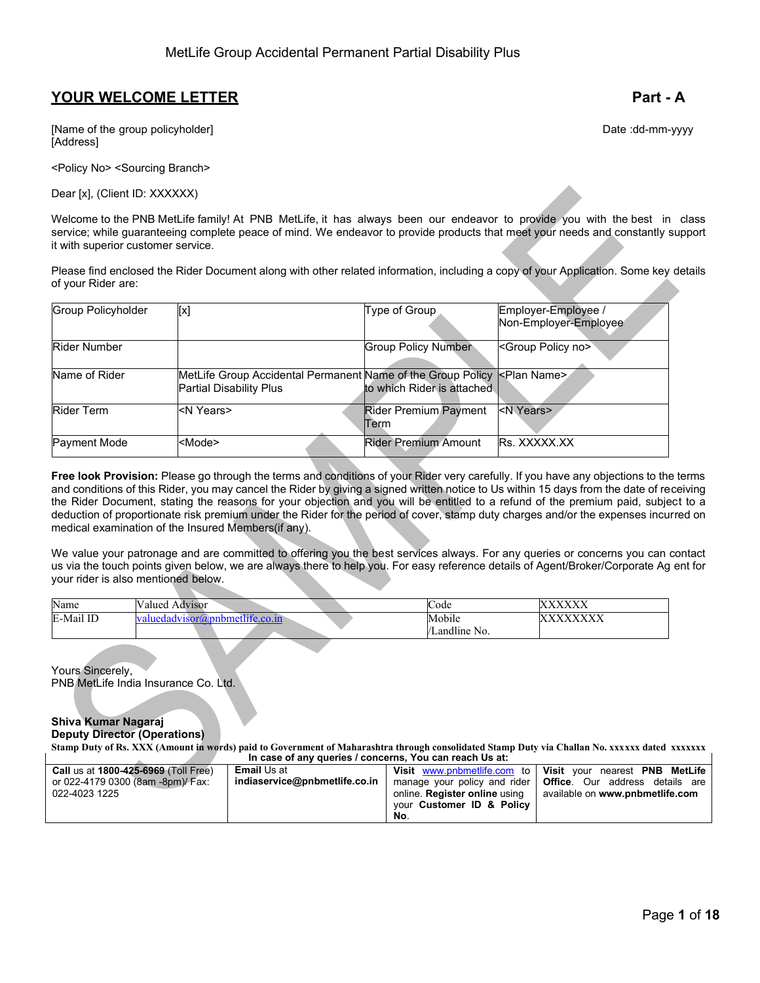# **YOUR WELCOME LETTER Part - A**

[Name of the group policyholder] Date :dd-mm-yyyy [Address]

<Policy No> <Sourcing Branch>

Dear [x], (Client ID: XXXXXX)

Welcome to the PNB MetLife family! At PNB MetLife, it has always been our endeavor to provide you with the best in class service; while guaranteeing complete peace of mind. We endeavor to provide products that meet your needs and constantly support it with superior customer service.

Please find enclosed the Rider Document along with other related information, including a copy of your Application. Some key details of your Rider are:

| <b>Group Policyholder</b> | [x]                                                                                           | Type of Group                               | Employer-Employee /<br>Non-Employer-Employee |
|---------------------------|-----------------------------------------------------------------------------------------------|---------------------------------------------|----------------------------------------------|
| <b>Rider Number</b>       |                                                                                               | <b>Group Policy Number</b>                  | <group no="" policy=""></group>              |
| Name of Rider             | MetLife Group Accidental Permanent Name of the Group Policy<br><b>Partial Disability Plus</b> | to which Rider is attached                  | <b>KPlan Name&gt;</b>                        |
| <b>Rider Term</b>         | <n years=""></n>                                                                              | <b>Rider Premium Payment</b><br><b>Term</b> | <n years=""></n>                             |
| Payment Mode              | <mode></mode>                                                                                 | <b>Rider Premium Amount</b>                 | Rs. XXXXX.XX                                 |

**Free look Provision:** Please go through the terms and conditions of your Rider very carefully. If you have any objections to the terms and conditions of this Rider, you may cancel the Rider by giving a signed written notice to Us within 15 days from the date of receiving the Rider Document, stating the reasons for your objection and you will be entitled to a refund of the premium paid, subject to a deduction of proportionate risk premium under the Rider for the period of cover, stamp duty charges and/or the expenses incurred on medical examination of the Insured Members(if any).

We value your patronage and are committed to offering you the best services always. For any queries or concerns you can contact us via the touch points given below, we are always there to help you. For easy reference details of Agent/Broker/Corporate Ag ent for your rider is also mentioned below.

| Name      | Valued.<br>. Advisor                                                       | Code         | <b>WWW.WWW</b><br>AAAA                        |
|-----------|----------------------------------------------------------------------------|--------------|-----------------------------------------------|
| E-Mail ID | $\sim$ $\star$ fite co.in<br><b>TVISOTL</b><br>™mh.<br><b>A76</b><br>uedad | Mobile       | <b>VVVVVVVV</b><br>$\Delta\Delta\Delta\Delta$ |
|           |                                                                            | Landline No. |                                               |

Yours Sincerely, PNB MetLife India Insurance Co. Ltd.

#### **Shiva Kumar Nagaraj Deputy Director (Operations)**

**Stamp Duty of Rs. XXX (Amount in words) paid to Government of Maharashtra through consolidated Stamp Duty via Challan No. xxxxxx dated xxxxxxx In case of any queries / concerns, You can reach Us at:**

| <b>Call us at 1800-425-6969 (Toll Free)</b> | <b>Email</b> Us at            |                             | Visit www.pnbmetlife.com to   Visit your nearest PNB MetLife    |
|---------------------------------------------|-------------------------------|-----------------------------|-----------------------------------------------------------------|
| or 022-4179 0300 (8am -8pm)/ Fax:           | indiaservice@pnbmetlife.co.in |                             | manage your policy and rider   Office. Our address details are  |
| 022-4023 1225                               |                               |                             | online. Register online using   available on www.pnbmetlife.com |
|                                             |                               | your Customer ID & Policy I |                                                                 |
|                                             |                               | No.                         |                                                                 |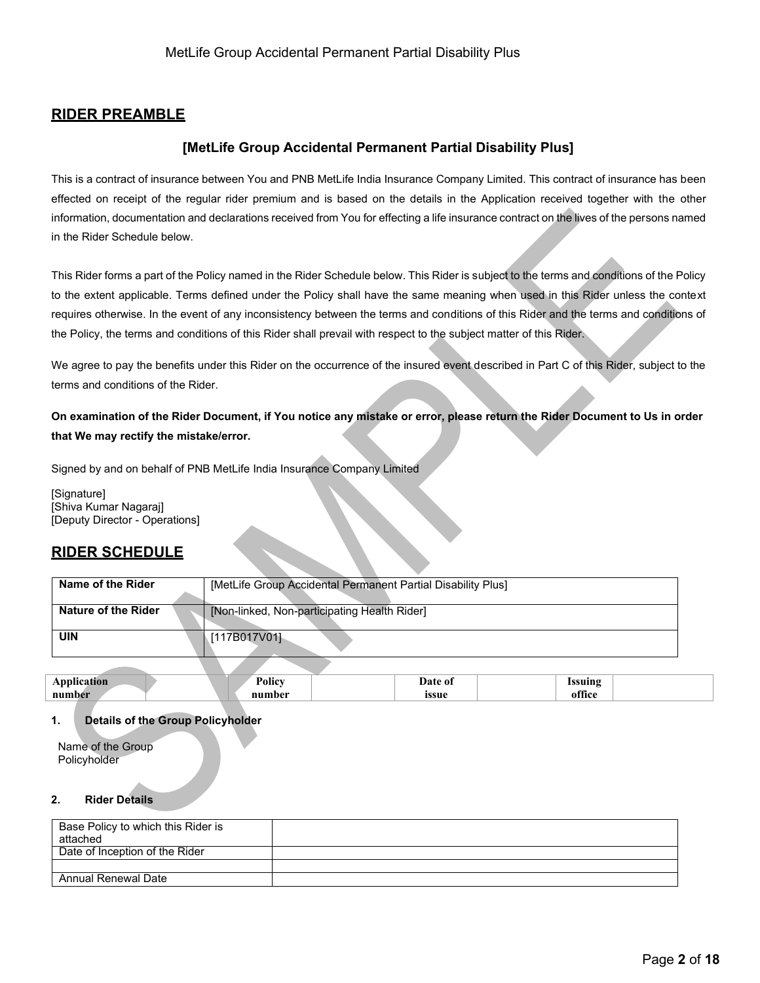# **RIDER PREAMBLE**

# **[MetLife Group Accidental Permanent Partial Disability Plus]**

This is a contract of insurance between You and PNB MetLife India Insurance Company Limited. This contract of insurance has been effected on receipt of the regular rider premium and is based on the details in the Application received together with the other information, documentation and declarations received from You for effecting a life insurance contract on the lives of the persons named in the Rider Schedule below.

This Rider forms a part of the Policy named in the Rider Schedule below. This Rider is subject to the terms and conditions of the Policy to the extent applicable. Terms defined under the Policy shall have the same meaning when used in this Rider unless the context requires otherwise. In the event of any inconsistency between the terms and conditions of this Rider and the terms and conditions of the Policy, the terms and conditions of this Rider shall prevail with respect to the subject matter of this Rider.

We agree to pay the benefits under this Rider on the occurrence of the insured event described in Part C of this Rider, subject to the terms and conditions of the Rider.

**On examination of the Rider Document, if You notice any mistake or error, please return the Rider Document to Us in order that We may rectify the mistake/error.**

Signed by and on behalf of PNB MetLife India Insurance Company Limited

[Signature] [Shiva Kumar Nagaraj] [Deputy Director - Operations]

# **RIDER SCHEDULE**

| Name of the Rider   | [MetLife Group Accidental Permanent Partial Disability Plus] |
|---------------------|--------------------------------------------------------------|
| Nature of the Rider | [Non-linked, Non-participating Health Rider]                 |
| <b>UIN</b>          | [117B017V01]                                                 |
|                     |                                                              |

| --<br>nur | <b>гон</b> | ) 01<br>.<br>ıssue | $\sim$<br>1111M G<br>LO O<br>$\sim$ $\sim$ $\sim$ |
|-----------|------------|--------------------|---------------------------------------------------|
|           |            |                    |                                                   |

# **1. Details of the Group Policyholder**

Name of the Group Policyholder

#### **2. Rider Details**

| Base Policy to which this Rider is |  |
|------------------------------------|--|
| attached                           |  |
| Date of Inception of the Rider     |  |
|                                    |  |
| Annual Renewal Date                |  |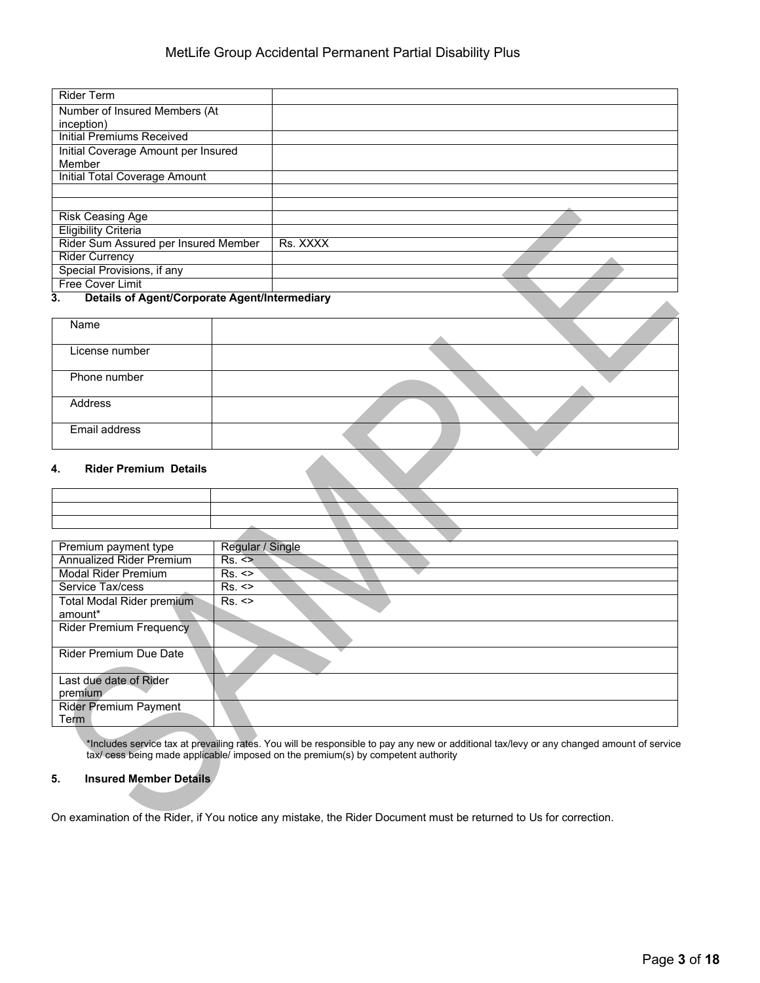| <b>Rider Term</b>                                               |          |  |
|-----------------------------------------------------------------|----------|--|
| Number of Insured Members (At                                   |          |  |
| inception)                                                      |          |  |
| <b>Initial Premiums Received</b>                                |          |  |
| Initial Coverage Amount per Insured                             |          |  |
| Member                                                          |          |  |
| Initial Total Coverage Amount                                   |          |  |
|                                                                 |          |  |
|                                                                 |          |  |
| <b>Risk Ceasing Age</b>                                         |          |  |
| <b>Eligibility Criteria</b>                                     |          |  |
| Rider Sum Assured per Insured Member                            | Rs. XXXX |  |
| <b>Rider Currency</b>                                           |          |  |
| Special Provisions, if any                                      |          |  |
| Free Cover Limit                                                |          |  |
| $\overline{\phantom{a}}$<br>.<br>$\sim$ $\sim$<br>$\sim$ $\sim$ | $\cdots$ |  |

### **3. Details of Agent/Corporate Agent/Intermediary**

| Name                               |  |  |
|------------------------------------|--|--|
| License number                     |  |  |
| Phone number                       |  |  |
| <b>Address</b>                     |  |  |
| Email address                      |  |  |
| <b>Rider Premium Details</b><br>4. |  |  |

### **4. Rider Premium Details**

| Premium payment type             | Regular / Single |
|----------------------------------|------------------|
| <b>Annualized Rider Premium</b>  | Rs. <            |
| <b>Modal Rider Premium</b>       | Rs. <            |
| Service Tax/cess                 | Rs. <            |
| <b>Total Modal Rider premium</b> | Rs.              |
| amount*                          |                  |
| <b>Rider Premium Frequency</b>   |                  |
| <b>Rider Premium Due Date</b>    |                  |
| Last due date of Rider           |                  |
| premium                          |                  |
| <b>Rider Premium Payment</b>     |                  |
| Term                             |                  |

\*Includes service tax at prevailing rates. You will be responsible to pay any new or additional tax/levy or any changed amount of service tax/ cess being made applicable/ imposed on the premium(s) by competent authority

### **5. Insured Member Details**

On examination of the Rider, if You notice any mistake, the Rider Document must be returned to Us for correction.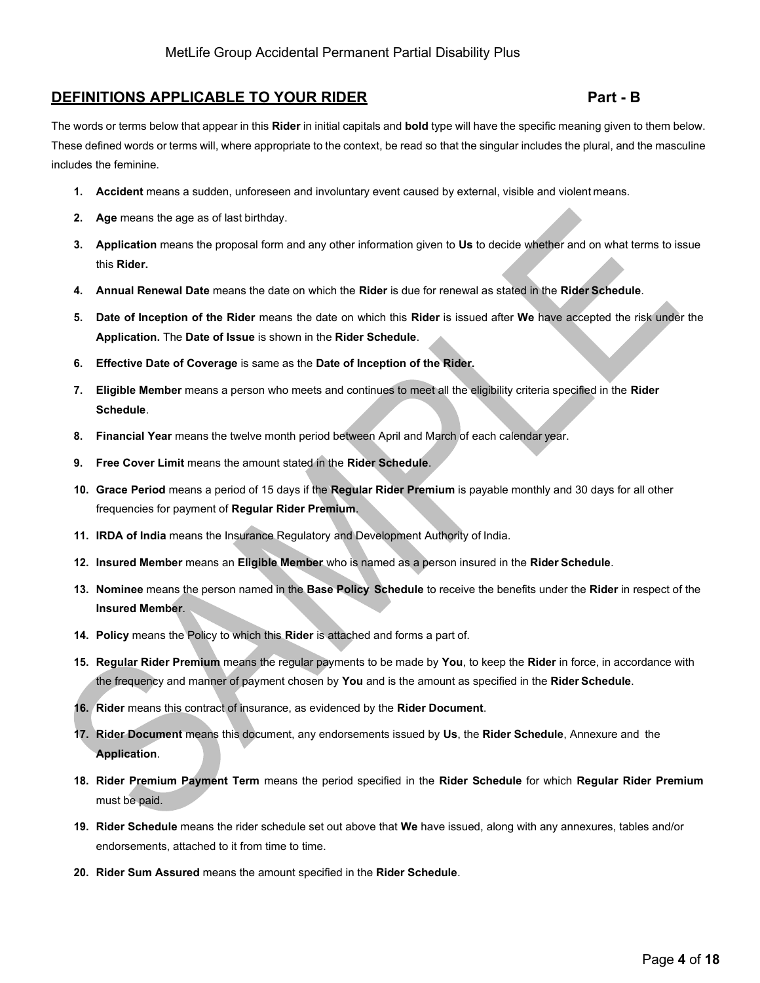# **DEFINITIONS APPLICABLE TO YOUR RIDER Part - B**

The words or terms below that appear in this **Rider** in initial capitals and **bold** type will have the specific meaning given to them below. These defined words or terms will, where appropriate to the context, be read so that the singular includes the plural, and the masculine includes the feminine.

- **1. Accident** means a sudden, unforeseen and involuntary event caused by external, visible and violent means.
- **2. Age** means the age as of last birthday.
- **3. Application** means the proposal form and any other information given to **Us** to decide whether and on what terms to issue this **Rider.**
- **4. Annual Renewal Date** means the date on which the **Rider** is due for renewal as stated in the **Rider Schedule**.
- **5. Date of Inception of the Rider** means the date on which this **Rider** is issued after **We** have accepted the risk under the **Application.** The **Date of Issue** is shown in the **Rider Schedule**.
- **6. Effective Date of Coverage** is same as the **Date of Inception of the Rider.**
- **7. Eligible Member** means a person who meets and continues to meet all the eligibility criteria specified in the **Rider Schedule**.
- **8. Financial Year** means the twelve month period between April and March of each calendar year.
- **9. Free Cover Limit** means the amount stated in the **Rider Schedule**.
- **10. Grace Period** means a period of 15 days if the **Regular Rider Premium** is payable monthly and 30 days for all other frequencies for payment of **Regular Rider Premium**.
- **11. IRDA of India** means the Insurance Regulatory and Development Authority of India.
- **12. Insured Member** means an **Eligible Member** who is named as a person insured in the **Rider Schedule**.
- **13. Nominee** means the person named in the **Base Policy Schedule** to receive the benefits under the **Rider** in respect of the **Insured Member**.
- **14. Policy** means the Policy to which this **Rider** is attached and forms a part of.
- **15. Regular Rider Premium** means the regular payments to be made by **You**, to keep the **Rider** in force, in accordance with the frequency and manner of payment chosen by **You** and is the amount as specified in the **Rider Schedule**.
- **16. Rider** means this contract of insurance, as evidenced by the **Rider Document**.
- **17. Rider Document** means this document, any endorsements issued by **Us**, the **Rider Schedule**, Annexure and the **Application**.
- **18. Rider Premium Payment Term** means the period specified in the **Rider Schedule** for which **Regular Rider Premium** must be paid.
- **19. Rider Schedule** means the rider schedule set out above that **We** have issued, along with any annexures, tables and/or endorsements, attached to it from time to time.
- **20. Rider Sum Assured** means the amount specified in the **Rider Schedule**.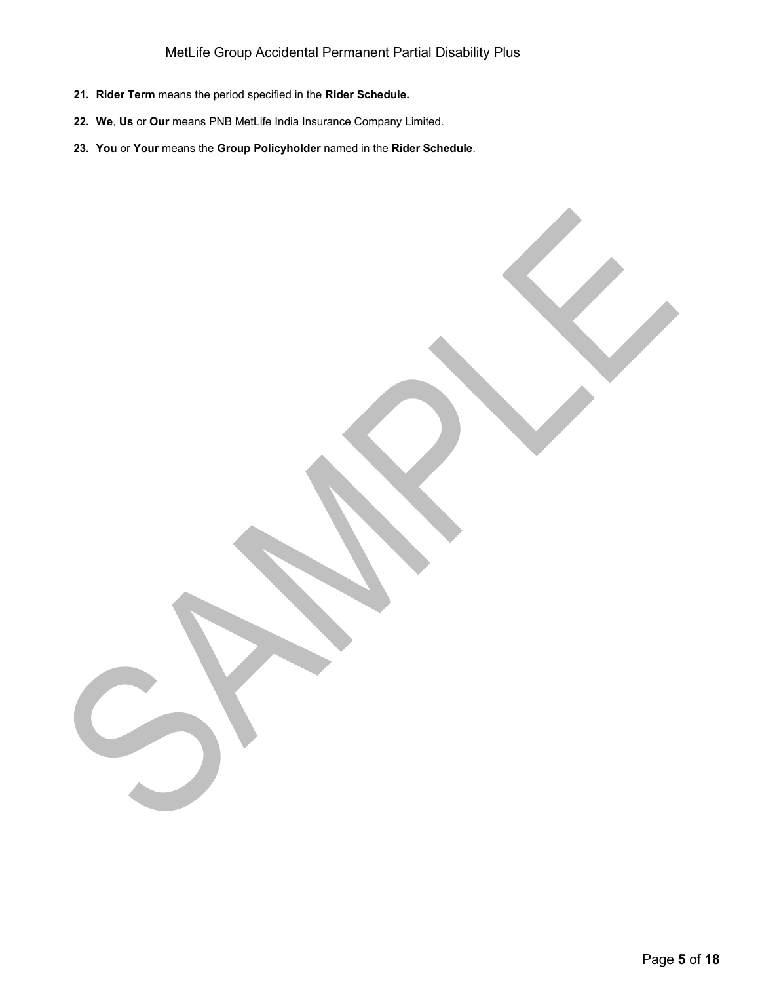# MetLife Group Accidental Permanent Partial Disability Plus

- **21. Rider Term** means the period specified in the **Rider Schedule.**
- **22. We**, **Us** or **Our** means PNB MetLife India Insurance Company Limited.
- **23. You** or **Your** means the **Group Policyholder** named in the **Rider Schedule**.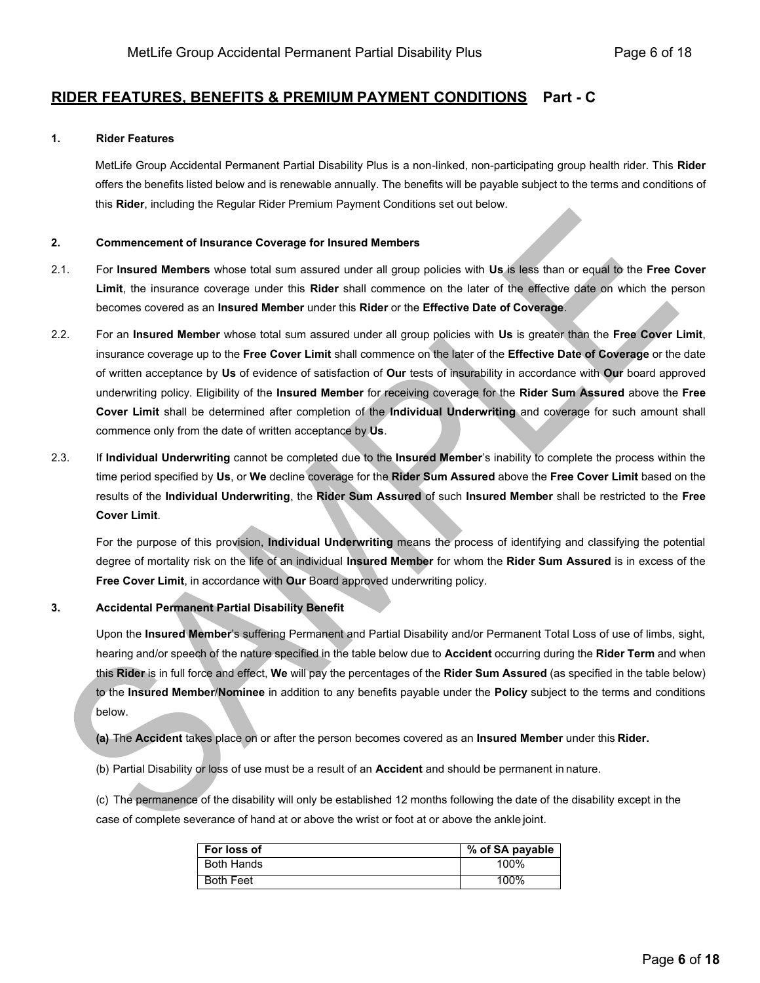# **RIDER FEATURES, BENEFITS & PREMIUM PAYMENT CONDITIONS Part - C**

### **1. Rider Features**

MetLife Group Accidental Permanent Partial Disability Plus is a non-linked, non-participating group health rider. This **Rider**  offers the benefits listed below and is renewable annually. The benefits will be payable subject to the terms and conditions of this **Rider**, including the Regular Rider Premium Payment Conditions set out below.

### **2. Commencement of Insurance Coverage for Insured Members**

- 2.1. For **Insured Members** whose total sum assured under all group policies with **Us** is less than or equal to the **Free Cover Limit**, the insurance coverage under this **Rider** shall commence on the later of the effective date on which the person becomes covered as an **Insured Member** under this **Rider** or the **Effective Date of Coverage**.
- 2.2. For an **Insured Member** whose total sum assured under all group policies with **Us** is greater than the **Free Cover Limit**, insurance coverage up to the **Free Cover Limit** shall commence on the later of the **Effective Date of Coverage** or the date of written acceptance by **Us** of evidence of satisfaction of **Our** tests of insurability in accordance with **Our** board approved underwriting policy. Eligibility of the **Insured Member** for receiving coverage for the **Rider Sum Assured** above the **Free Cover Limit** shall be determined after completion of the **Individual Underwriting** and coverage for such amount shall commence only from the date of written acceptance by **Us**.
- 2.3. If **Individual Underwriting** cannot be completed due to the **Insured Member**'s inability to complete the process within the time period specified by **Us**, or **We** decline coverage for the **Rider Sum Assured** above the **Free Cover Limit** based on the results of the **Individual Underwriting**, the **Rider Sum Assured** of such **Insured Member** shall be restricted to the **Free Cover Limit**.

For the purpose of this provision, **Individual Underwriting** means the process of identifying and classifying the potential degree of mortality risk on the life of an individual **Insured Member** for whom the **Rider Sum Assured** is in excess of the **Free Cover Limit**, in accordance with **Our** Board approved underwriting policy.

# **3. Accidental Permanent Partial Disability Benefit**

Upon the **Insured Member**'s suffering Permanent and Partial Disability and/or Permanent Total Loss of use of limbs, sight, hearing and/or speech of the nature specified in the table below due to **Accident** occurring during the **Rider Term** and when this **Rider** is in full force and effect, **We** will pay the percentages of the **Rider Sum Assured** (as specified in the table below) to the **Insured Member**/**Nominee** in addition to any benefits payable under the **Policy** subject to the terms and conditions below.

**(a)** The **Accident** takes place on or after the person becomes covered as an **Insured Member** under this **Rider.**

(b) Partial Disability or loss of use must be a result of an **Accident** and should be permanent in nature.

(c) The permanence of the disability will only be established 12 months following the date of the disability except in the case of complete severance of hand at or above the wrist or foot at or above the ankle joint.

| For loss of       | % of SA payable |
|-------------------|-----------------|
| <b>Both Hands</b> | 100%            |
| <b>Both Feet</b>  | 100%            |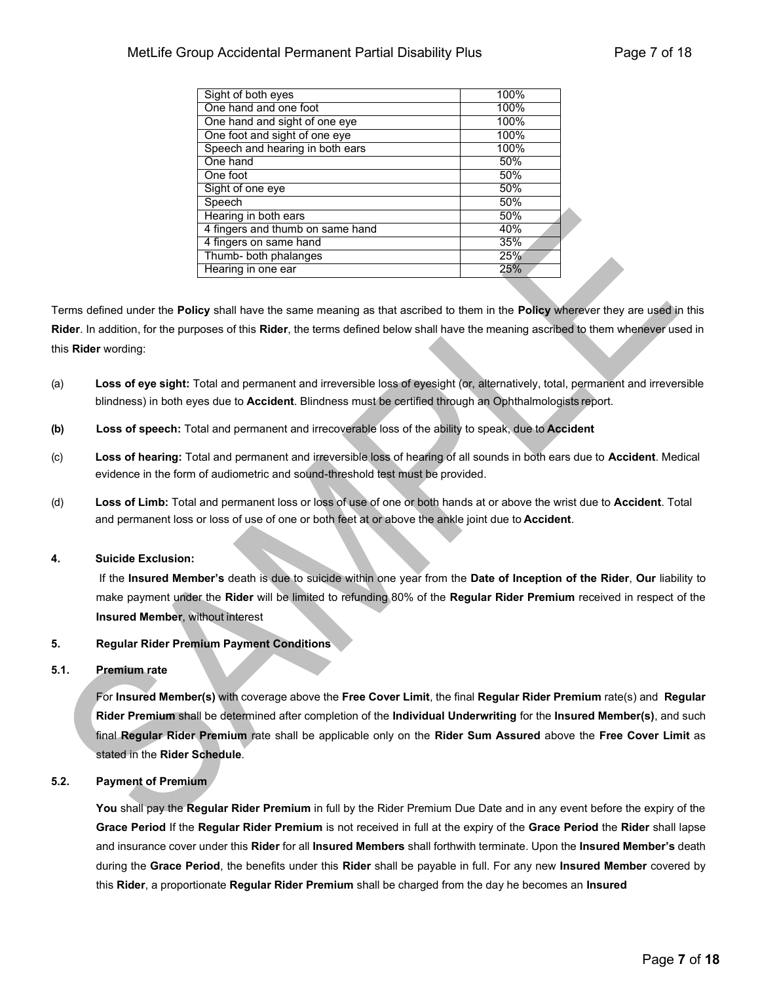| Sight of both eyes               | 100% |
|----------------------------------|------|
| One hand and one foot            | 100% |
| One hand and sight of one eye    | 100% |
| One foot and sight of one eye    | 100% |
| Speech and hearing in both ears  | 100% |
| One hand                         | 50%  |
| One foot                         | 50%  |
| Sight of one eye                 | 50%  |
| Speech                           | 50%  |
| Hearing in both ears             | 50%  |
| 4 fingers and thumb on same hand | 40%  |
| 4 fingers on same hand           | 35%  |
| Thumb- both phalanges            | 25%  |
| Hearing in one ear               | 25%  |

Terms defined under the **Policy** shall have the same meaning as that ascribed to them in the **Policy** wherever they are used in this **Rider**. In addition, for the purposes of this **Rider**, the terms defined below shall have the meaning ascribed to them whenever used in this **Rider** wording:

- (a) **Loss of eye sight:** Total and permanent and irreversible loss of eyesight (or, alternatively, total, permanent and irreversible blindness) in both eyes due to **Accident**. Blindness must be certified through an Ophthalmologists report.
- **(b) Loss of speech:** Total and permanent and irrecoverable loss of the ability to speak, due to **Accident**
- (c) **Loss of hearing:** Total and permanent and irreversible loss of hearing of all sounds in both ears due to **Accident**. Medical evidence in the form of audiometric and sound-threshold test must be provided.
- (d) **Loss of Limb:** Total and permanent loss or loss of use of one or both hands at or above the wrist due to **Accident**. Total and permanent loss or loss of use of one or both feet at or above the ankle joint due to **Accident**.

# **4. Suicide Exclusion:**

If the **Insured Member's** death is due to suicide within one year from the **Date of Inception of the Rider**, **Our** liability to make payment under the **Rider** will be limited to refunding 80% of the **Regular Rider Premium** received in respect of the **Insured Member**, without interest

# **5. Regular Rider Premium Payment Conditions**

# **5.1. Premium rate**

For **Insured Member(s)** with coverage above the **Free Cover Limit**, the final **Regular Rider Premium** rate(s) and **Regular Rider Premium** shall be determined after completion of the **Individual Underwriting** for the **Insured Member(s)**, and such final **Regular Rider Premium** rate shall be applicable only on the **Rider Sum Assured** above the **Free Cover Limit** as stated in the **Rider Schedule**.

# **5.2. Payment of Premium**

**You** shall pay the **Regular Rider Premium** in full by the Rider Premium Due Date and in any event before the expiry of the **Grace Period** If the **Regular Rider Premium** is not received in full at the expiry of the **Grace Period** the **Rider** shall lapse and insurance cover under this **Rider** for all **Insured Members** shall forthwith terminate. Upon the **Insured Member's** death during the **Grace Period**, the benefits under this **Rider** shall be payable in full. For any new **Insured Member** covered by this **Rider**, a proportionate **Regular Rider Premium** shall be charged from the day he becomes an **Insured**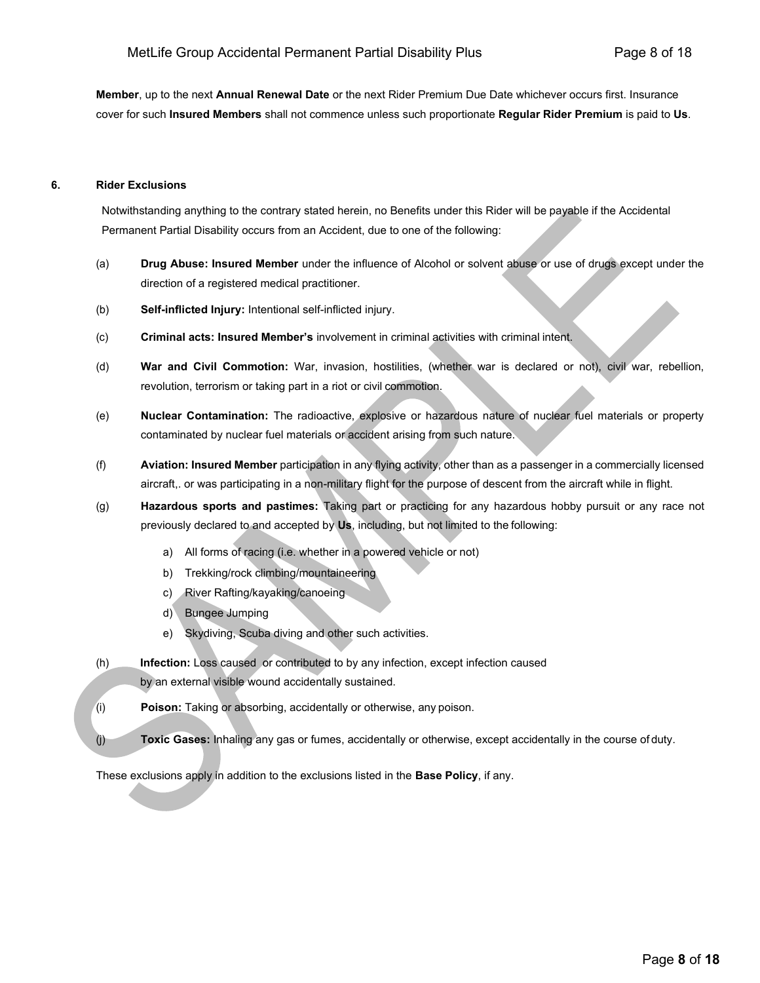**Member**, up to the next **Annual Renewal Date** or the next Rider Premium Due Date whichever occurs first. Insurance cover for such **Insured Members** shall not commence unless such proportionate **Regular Rider Premium** is paid to **Us**.

# **6. Rider Exclusions**

Notwithstanding anything to the contrary stated herein, no Benefits under this Rider will be payable if the Accidental Permanent Partial Disability occurs from an Accident, due to one of the following:

- (a) **Drug Abuse: Insured Member** under the influence of Alcohol or solvent abuse or use of drugs except under the direction of a registered medical practitioner.
- (b) **Self-inflicted Injury:** Intentional self-inflicted injury.
- (c) **Criminal acts: Insured Member's** involvement in criminal activities with criminal intent.
- (d) **War and Civil Commotion:** War, invasion, hostilities, (whether war is declared or not), civil war, rebellion, revolution, terrorism or taking part in a riot or civil commotion.
- (e) **Nuclear Contamination:** The radioactive, explosive or hazardous nature of nuclear fuel materials or property contaminated by nuclear fuel materials or accident arising from such nature.
- (f) **Aviation: Insured Member** participation in any flying activity, other than as a passenger in a commercially licensed aircraft,. or was participating in a non-military flight for the purpose of descent from the aircraft while in flight.
- (g) **Hazardous sports and pastimes:** Taking part or practicing for any hazardous hobby pursuit or any race not previously declared to and accepted by **Us**, including, but not limited to the following:
	- a) All forms of racing (i.e. whether in a powered vehicle or not)
	- b) Trekking/rock climbing/mountaineering
	- c) River Rafting/kayaking/canoeing
	- d) Bungee Jumping
	- e) Skydiving, Scuba diving and other such activities.
- (h) **Infection:** Loss caused or contributed to by any infection, except infection caused by an external visible wound accidentally sustained.
- (i) **Poison:** Taking or absorbing, accidentally or otherwise, any poison.
- (j) **Toxic Gases:** Inhaling any gas or fumes, accidentally or otherwise, except accidentally in the course of duty.

These exclusions apply in addition to the exclusions listed in the **Base Policy**, if any.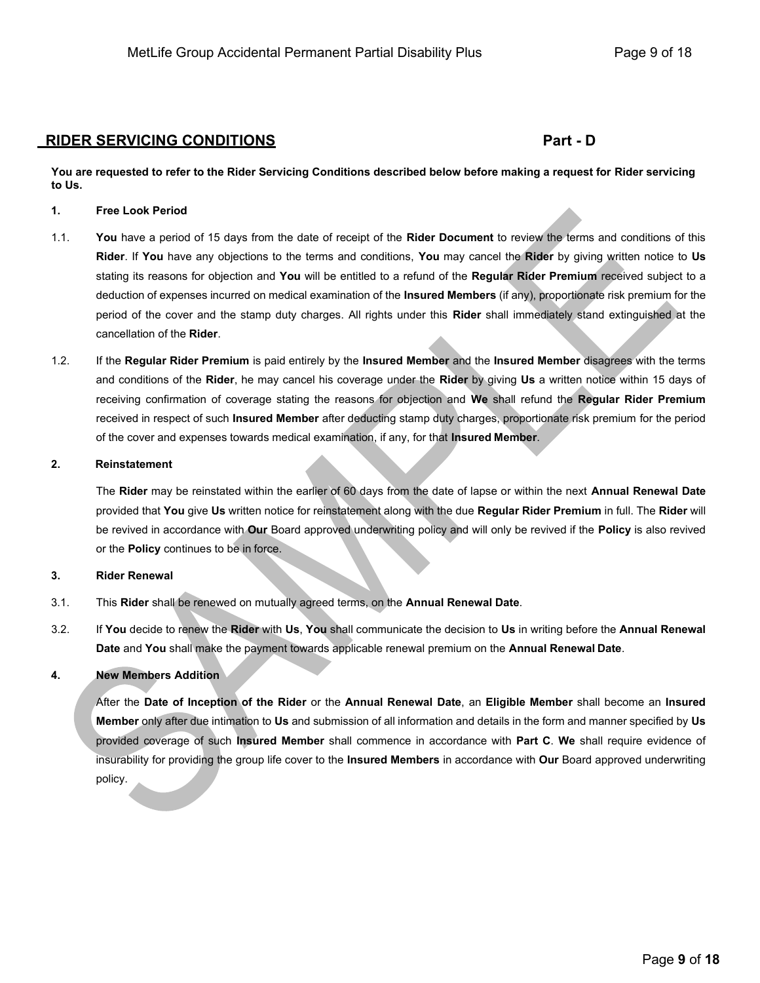# **RIDER SERVICING CONDITIONS Part - D**

**You are requested to refer to the Rider Servicing Conditions described below before making a request for Rider servicing to Us.**

# **1. Free Look Period**

- 1.1. **You** have a period of 15 days from the date of receipt of the **Rider Document** to review the terms and conditions of this **Rider**. If **You** have any objections to the terms and conditions, **You** may cancel the **Rider** by giving written notice to **Us**  stating its reasons for objection and **You** will be entitled to a refund of the **Regular Rider Premium** received subject to a deduction of expenses incurred on medical examination of the **Insured Members** (if any), proportionate risk premium for the period of the cover and the stamp duty charges. All rights under this **Rider** shall immediately stand extinguished at the cancellation of the **Rider**.
- 1.2. If the **Regular Rider Premium** is paid entirely by the **Insured Member** and the **Insured Member** disagrees with the terms and conditions of the **Rider**, he may cancel his coverage under the **Rider** by giving **Us** a written notice within 15 days of receiving confirmation of coverage stating the reasons for objection and **We** shall refund the **Regular Rider Premium**  received in respect of such **Insured Member** after deducting stamp duty charges, proportionate risk premium for the period of the cover and expenses towards medical examination, if any, for that **Insured Member**.

# **2. Reinstatement**

The **Rider** may be reinstated within the earlier of 60 days from the date of lapse or within the next **Annual Renewal Date**  provided that **You** give **Us** written notice for reinstatement along with the due **Regular Rider Premium** in full. The **Rider** will be revived in accordance with **Our** Board approved underwriting policy and will only be revived if the **Policy** is also revived or the **Policy** continues to be in force.

#### **3. Rider Renewal**

- 3.1. This **Rider** shall be renewed on mutually agreed terms, on the **Annual Renewal Date**.
- 3.2. If **You** decide to renew the **Rider** with **Us**, **You** shall communicate the decision to **Us** in writing before the **Annual Renewal Date** and **You** shall make the payment towards applicable renewal premium on the **Annual Renewal Date**.

# **4. New Members Addition**

After the **Date of Inception of the Rider** or the **Annual Renewal Date**, an **Eligible Member** shall become an **Insured Member** only after due intimation to **Us** and submission of all information and details in the form and manner specified by **Us**  provided coverage of such **Insured Member** shall commence in accordance with **Part C**. **We** shall require evidence of insurability for providing the group life cover to the **Insured Members** in accordance with **Our** Board approved underwriting policy.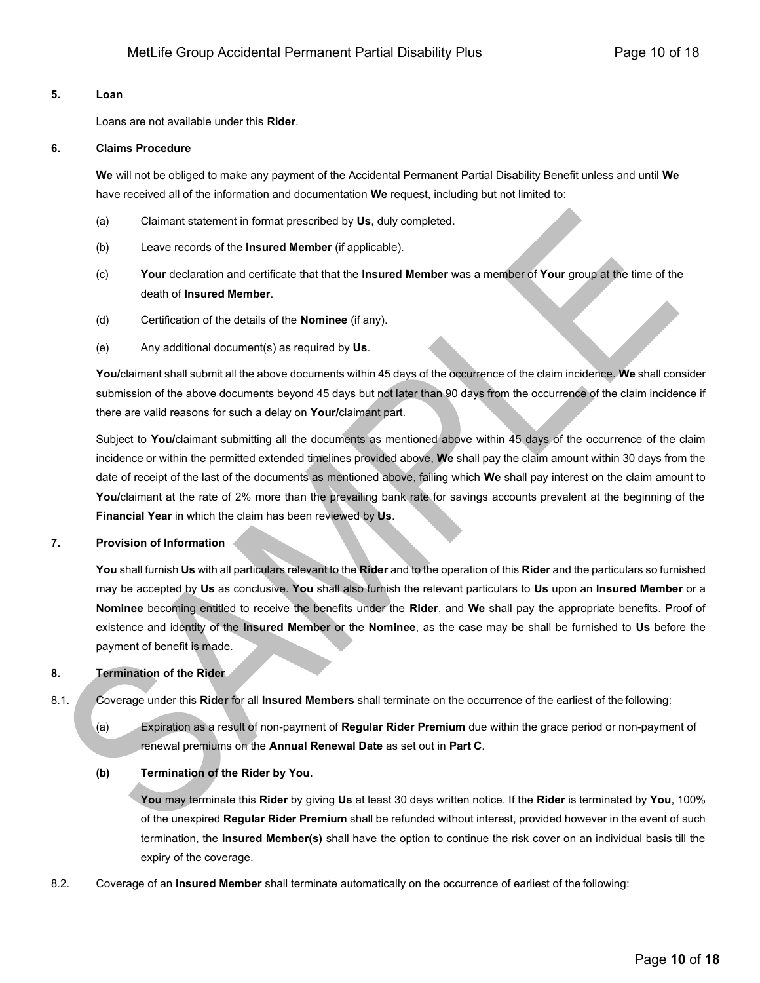### **5. Loan**

Loans are not available under this **Rider**.

#### **6. Claims Procedure**

**We** will not be obliged to make any payment of the Accidental Permanent Partial Disability Benefit unless and until **We** have received all of the information and documentation **We** request, including but not limited to:

- (a) Claimant statement in format prescribed by **Us**, duly completed.
- (b) Leave records of the **Insured Member** (if applicable).
- (c) **Your** declaration and certificate that that the **Insured Member** was a member of **Your** group at the time of the death of **Insured Member**.
- (d) Certification of the details of the **Nominee** (if any).
- (e) Any additional document(s) as required by **Us**.

**You/**claimant shall submit all the above documents within 45 days of the occurrence of the claim incidence. **We** shall consider submission of the above documents beyond 45 days but not later than 90 days from the occurrence of the claim incidence if there are valid reasons for such a delay on **Your/**claimant part.

Subject to **You/**claimant submitting all the documents as mentioned above within 45 days of the occurrence of the claim incidence or within the permitted extended timelines provided above, **We** shall pay the claim amount within 30 days from the date of receipt of the last of the documents as mentioned above, failing which **We** shall pay interest on the claim amount to **You/**claimant at the rate of 2% more than the prevailing bank rate for savings accounts prevalent at the beginning of the **Financial Year** in which the claim has been reviewed by **Us**.

# **7. Provision of Information**

**You** shall furnish **Us** with all particulars relevant to the **Rider** and to the operation of this **Rider** and the particulars so furnished may be accepted by **Us** as conclusive. **You** shall also furnish the relevant particulars to **Us** upon an **Insured Member** or a **Nominee** becoming entitled to receive the benefits under the **Rider**, and **We** shall pay the appropriate benefits. Proof of existence and identity of the **Insured Member** or the **Nominee**, as the case may be shall be furnished to **Us** before the payment of benefit is made.

# **8. Termination of the Rider**

8.1. Coverage under this **Rider** for all **Insured Members** shall terminate on the occurrence of the earliest of the following:

(a) Expiration as a result of non-payment of **Regular Rider Premium** due within the grace period or non-payment of renewal premiums on the **Annual Renewal Date** as set out in **Part C**.

# **(b) Termination of the Rider by You.**

**You** may terminate this **Rider** by giving **Us** at least 30 days written notice. If the **Rider** is terminated by **You**, 100% of the unexpired **Regular Rider Premium** shall be refunded without interest, provided however in the event of such termination, the **Insured Member(s)** shall have the option to continue the risk cover on an individual basis till the expiry of the coverage.

8.2. Coverage of an **Insured Member** shall terminate automatically on the occurrence of earliest of the following: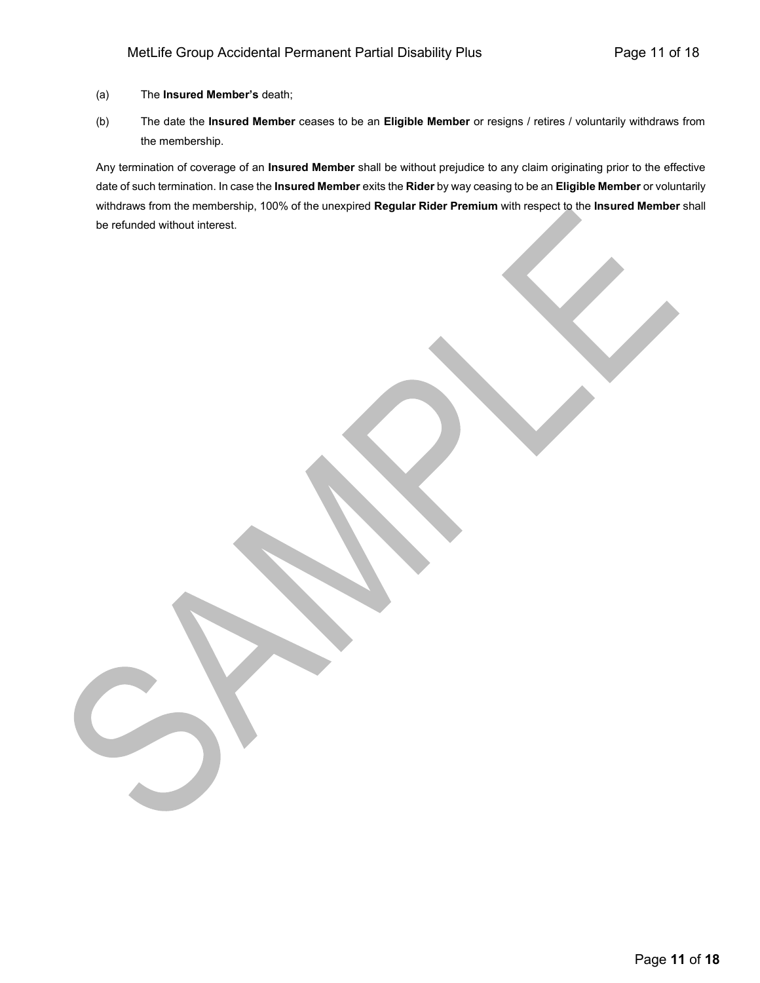- (a) The **Insured Member's** death;
- (b) The date the **Insured Member** ceases to be an **Eligible Member** or resigns / retires / voluntarily withdraws from the membership.

Any termination of coverage of an **Insured Member** shall be without prejudice to any claim originating prior to the effective date of such termination. In case the **Insured Member** exits the **Rider** by way ceasing to be an **Eligible Member** or voluntarily withdraws from the membership, 100% of the unexpired **Regular Rider Premium** with respect to the **Insured Member** shall be refunded without interest.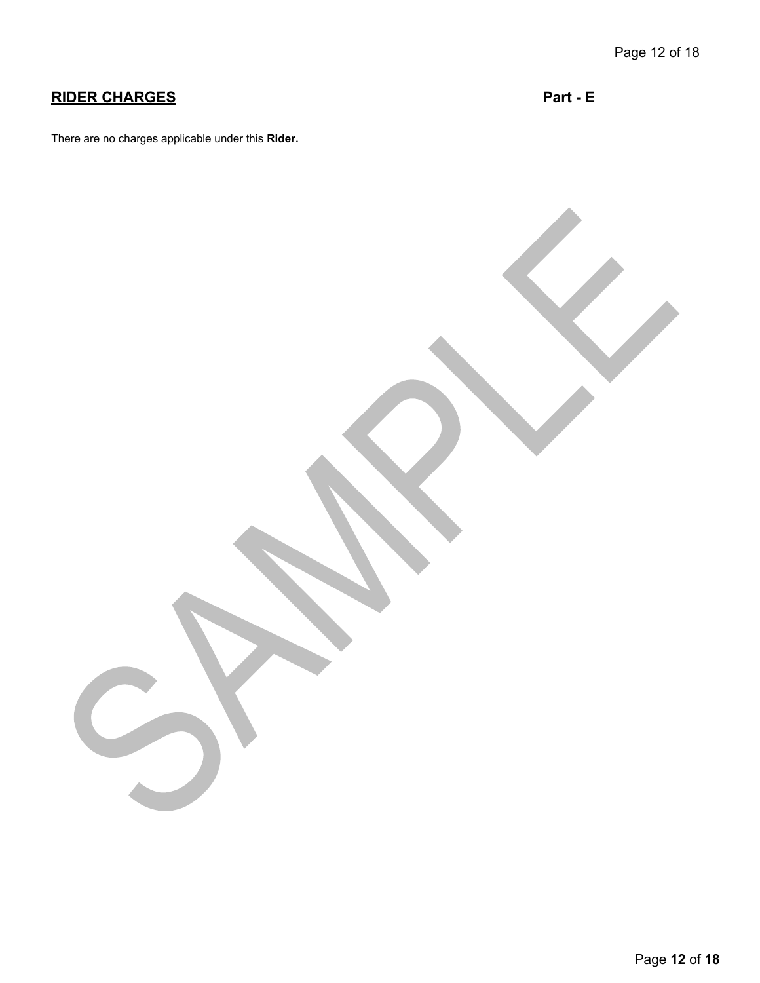# **RIDER CHARGES Part - E**

There are no charges applicable under this **Rider.**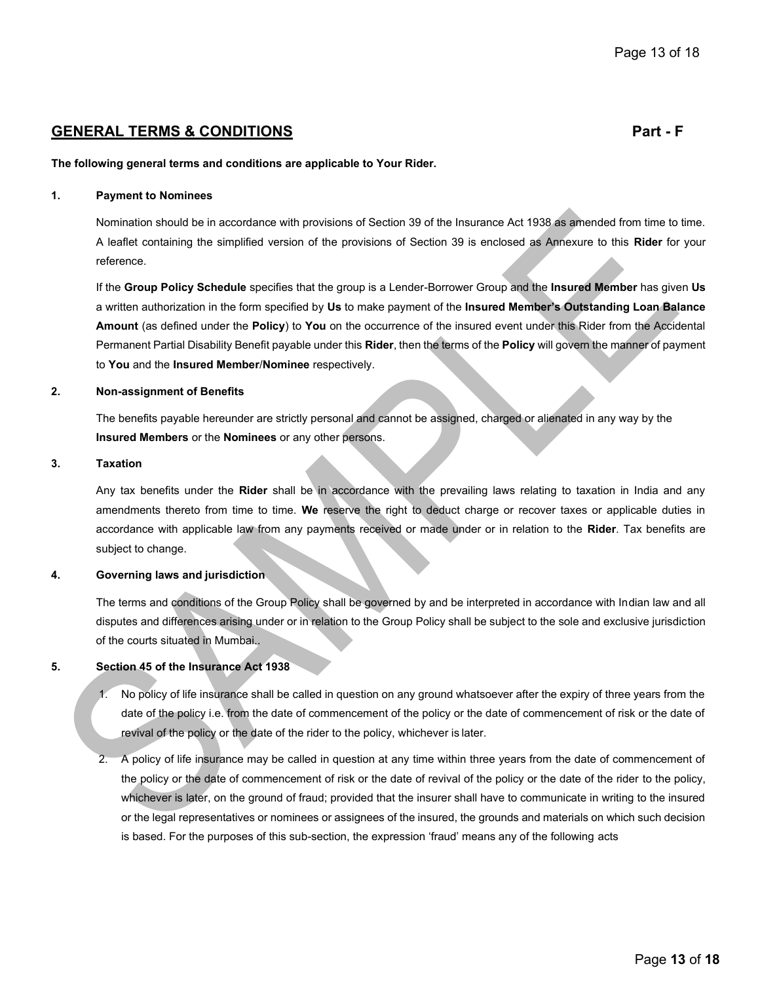# **GENERAL TERMS & CONDITIONS Part - F**

#### **The following general terms and conditions are applicable to Your Rider.**

#### **1. Payment to Nominees**

Nomination should be in accordance with provisions of Section 39 of the Insurance Act 1938 as amended from time to time. A leaflet containing the simplified version of the provisions of Section 39 is enclosed as Annexure to this **Rider** for your reference.

If the **Group Policy Schedule** specifies that the group is a Lender-Borrower Group and the **Insured Member** has given **Us**  a written authorization in the form specified by **Us** to make payment of the **Insured Member's Outstanding Loan Balance Amount** (as defined under the **Policy**) to **You** on the occurrence of the insured event under this Rider from the Accidental Permanent Partial Disability Benefit payable under this **Rider**, then the terms of the **Policy** will govern the manner of payment to **You** and the **Insured Member**/**Nominee** respectively.

#### **2. Non-assignment of Benefits**

The benefits payable hereunder are strictly personal and cannot be assigned, charged or alienated in any way by the **Insured Members** or the **Nominees** or any other persons.

### **3. Taxation**

Any tax benefits under the **Rider** shall be in accordance with the prevailing laws relating to taxation in India and any amendments thereto from time to time. **We** reserve the right to deduct charge or recover taxes or applicable duties in accordance with applicable law from any payments received or made under or in relation to the **Rider**. Tax benefits are subject to change.

# **4. Governing laws and jurisdiction**

The terms and conditions of the Group Policy shall be governed by and be interpreted in accordance with Indian law and all disputes and differences arising under or in relation to the Group Policy shall be subject to the sole and exclusive jurisdiction of the courts situated in Mumbai..

### **5. Section 45 of the Insurance Act 1938**

- 1. No policy of life insurance shall be called in question on any ground whatsoever after the expiry of three years from the date of the policy i.e. from the date of commencement of the policy or the date of commencement of risk or the date of revival of the policy or the date of the rider to the policy, whichever is later.
- 2. A policy of life insurance may be called in question at any time within three years from the date of commencement of the policy or the date of commencement of risk or the date of revival of the policy or the date of the rider to the policy, whichever is later, on the ground of fraud; provided that the insurer shall have to communicate in writing to the insured or the legal representatives or nominees or assignees of the insured, the grounds and materials on which such decision is based. For the purposes of this sub-section, the expression 'fraud' means any of the following acts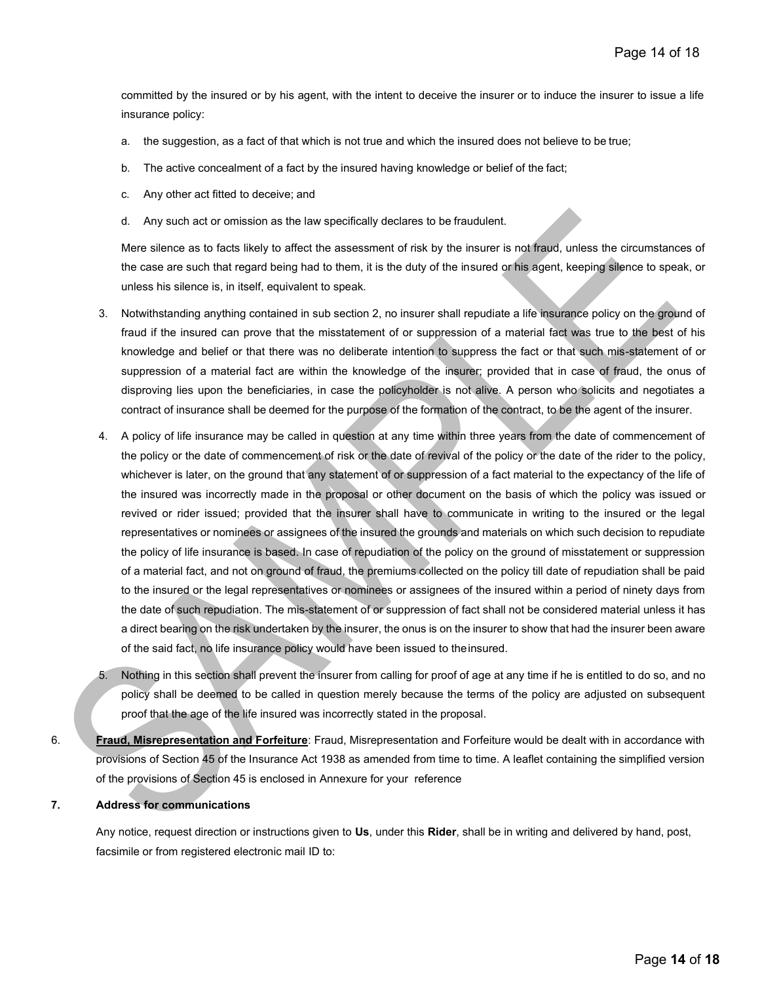committed by the insured or by his agent, with the intent to deceive the insurer or to induce the insurer to issue a life insurance policy:

- a. the suggestion, as a fact of that which is not true and which the insured does not believe to be true;
- b. The active concealment of a fact by the insured having knowledge or belief of the fact;
- c. Any other act fitted to deceive; and
- d. Any such act or omission as the law specifically declares to be fraudulent.

Mere silence as to facts likely to affect the assessment of risk by the insurer is not fraud, unless the circumstances of the case are such that regard being had to them, it is the duty of the insured or his agent, keeping silence to speak, or unless his silence is, in itself, equivalent to speak.

- 3. Notwithstanding anything contained in sub section 2, no insurer shall repudiate a life insurance policy on the ground of fraud if the insured can prove that the misstatement of or suppression of a material fact was true to the best of his knowledge and belief or that there was no deliberate intention to suppress the fact or that such mis-statement of or suppression of a material fact are within the knowledge of the insurer; provided that in case of fraud, the onus of disproving lies upon the beneficiaries, in case the policyholder is not alive. A person who solicits and negotiates a contract of insurance shall be deemed for the purpose of the formation of the contract, to be the agent of the insurer.
- 4. A policy of life insurance may be called in question at any time within three years from the date of commencement of the policy or the date of commencement of risk or the date of revival of the policy or the date of the rider to the policy, whichever is later, on the ground that any statement of or suppression of a fact material to the expectancy of the life of the insured was incorrectly made in the proposal or other document on the basis of which the policy was issued or revived or rider issued; provided that the insurer shall have to communicate in writing to the insured or the legal representatives or nominees or assignees of the insured the grounds and materials on which such decision to repudiate the policy of life insurance is based. In case of repudiation of the policy on the ground of misstatement or suppression of a material fact, and not on ground of fraud, the premiums collected on the policy till date of repudiation shall be paid to the insured or the legal representatives or nominees or assignees of the insured within a period of ninety days from the date of such repudiation. The mis-statement of or suppression of fact shall not be considered material unless it has a direct bearing on the risk undertaken by the insurer, the onus is on the insurer to show that had the insurer been aware of the said fact, no life insurance policy would have been issued to theinsured.
- 5. Nothing in this section shall prevent the insurer from calling for proof of age at any time if he is entitled to do so, and no policy shall be deemed to be called in question merely because the terms of the policy are adjusted on subsequent proof that the age of the life insured was incorrectly stated in the proposal.
- 6. **Fraud, Misrepresentation and Forfeiture**: Fraud, Misrepresentation and Forfeiture would be dealt with in accordance with provisions of Section 45 of the Insurance Act 1938 as amended from time to time. A leaflet containing the simplified version of the provisions of Section 45 is enclosed in Annexure for your reference

#### **7. Address for communications**

Any notice, request direction or instructions given to **Us**, under this **Rider**, shall be in writing and delivered by hand, post, facsimile or from registered electronic mail ID to: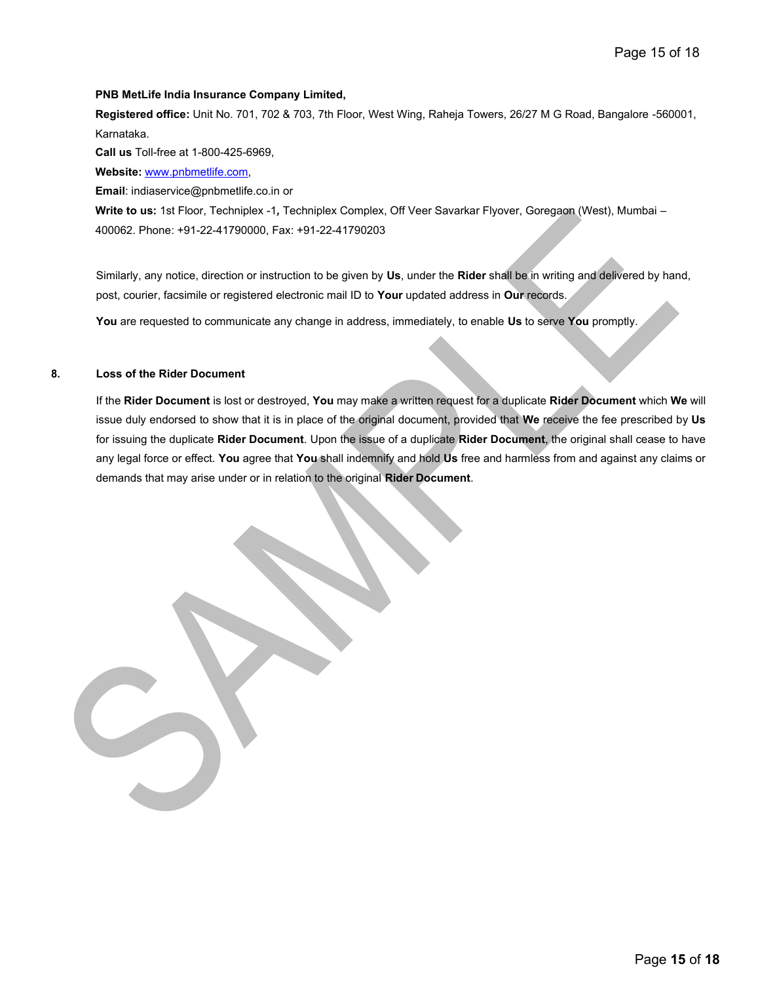#### **PNB MetLife India Insurance Company Limited,**

**Registered office:** Unit No. 701, 702 & 703, 7th Floor, West Wing, Raheja Towers, 26/27 M G Road, Bangalore -560001, Karnataka.

**Call us** Toll-free at 1-800-425-6969,

**Website:** [www.pnbmetlife.com,](http://www.pnbmetlife.com/)

**Email**: [indiaservice@pnbmetlife.co.in o](mailto:indiaservice@pnbmetlife.co.in)r

**Write to us:** 1st Floor, Techniplex -1*,* Techniplex Complex, Off Veer Savarkar Flyover, Goregaon (West), Mumbai – 400062. Phone: +91-22-41790000, Fax: +91-22-41790203

Similarly, any notice, direction or instruction to be given by **Us**, under the **Rider** shall be in writing and delivered by hand, post, courier, facsimile or registered electronic mail ID to **Your** updated address in **Our** records.

**You** are requested to communicate any change in address, immediately, to enable **Us** to serve **You** promptly.

#### **8. Loss of the Rider Document**

If the **Rider Document** is lost or destroyed, **You** may make a written request for a duplicate **Rider Document** which **We** will issue duly endorsed to show that it is in place of the original document, provided that **We** receive the fee prescribed by **Us**  for issuing the duplicate **Rider Document**. Upon the issue of a duplicate **Rider Document**, the original shall cease to have any legal force or effect. **You** agree that **You** shall indemnify and hold **Us** free and harmless from and against any claims or demands that may arise under or in relation to the original **Rider Document**.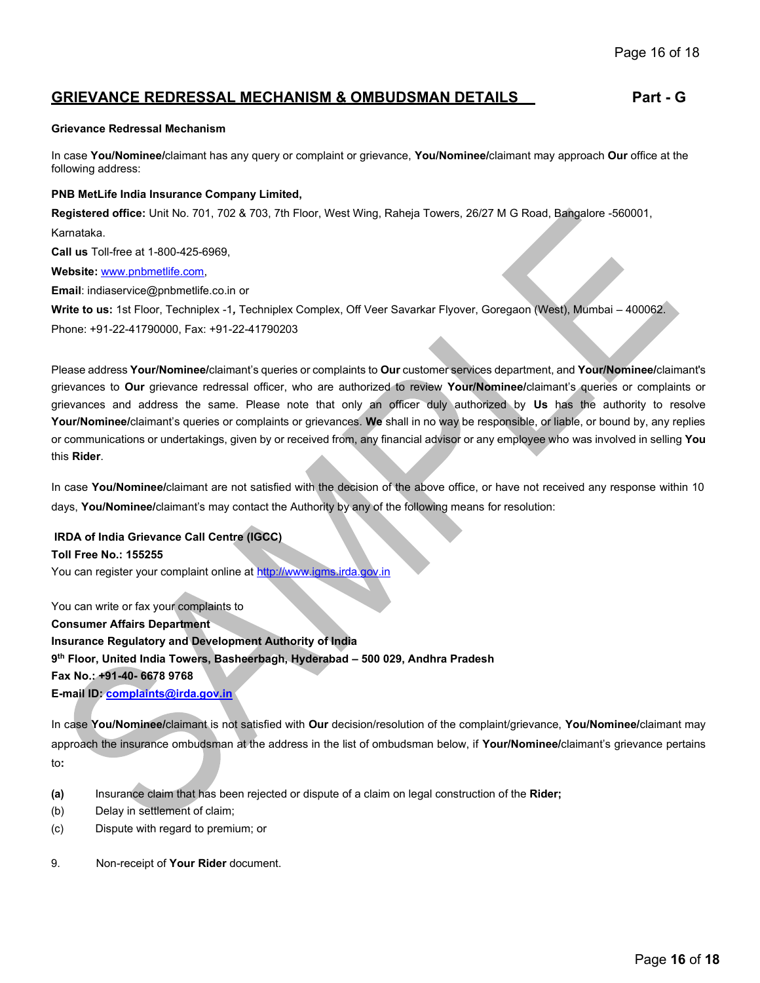# **GRIEVANCE REDRESSAL MECHANISM & OMBUDSMAN DETAILS Part - G**

#### **Grievance Redressal Mechanism**

In case **You/Nominee/**claimant has any query or complaint or grievance, **You/Nominee/**claimant may approach **Our** office at the following address:

#### **PNB MetLife India Insurance Company Limited,**

**Registered office:** Unit No. 701, 702 & 703, 7th Floor, West Wing, Raheja Towers, 26/27 M G Road, Bangalore -560001,

Karnataka.

**Call us** Toll-free at 1-800-425-6969,

**Website:** [www.pnbmetlife.com,](http://www.pnbmetlife.com/)

**Email**[: indiaservice@pnbmetlife.co.in o](mailto:indiaservice@pnbmetlife.co.in)r

**Write to us:** 1st Floor, Techniplex -1*,* Techniplex Complex, Off Veer Savarkar Flyover, Goregaon (West), Mumbai – 400062. Phone: +91-22-41790000, Fax: +91-22-41790203

Please address **Your/Nominee/**claimant's queries or complaints to **Our** customer services department, and **Your/Nominee/**claimant's grievances to **Our** grievance redressal officer, who are authorized to review **Your/Nominee/**claimant's queries or complaints or grievances and address the same. Please note that only an officer duly authorized by **Us** has the authority to resolve **Your/Nominee/**claimant's queries or complaints or grievances. **We** shall in no way be responsible, or liable, or bound by, any replies or communications or undertakings, given by or received from, any financial advisor or any employee who was involved in selling **You**  this **Rider**.

In case **You/Nominee/**claimant are not satisfied with the decision of the above office, or have not received any response within 10 days, **You/Nominee/**claimant's may contact the Authority by any of the following means for resolution:

**IRDA of India Grievance Call Centre (IGCC) Toll Free No.: 155255** You can register your complaint online at [http://www.igms.irda.gov.in](http://www.igms.irda.gov.in/)

You can write or fax your complaints to **Consumer Affairs Department Insurance Regulatory and Development Authority of India 9 th Floor, United India Towers, Basheerbagh, Hyderabad – 500 029, Andhra Pradesh Fax No.: +91-40- 6678 9768 E-mail ID[: complaints@irda.gov.in](mailto:complaints@irda.gov.in)**

In case **You/Nominee/**claimant is not satisfied with **Our** decision/resolution of the complaint/grievance, **You/Nominee/**claimant may approach the insurance ombudsman at the address in the list of ombudsman below, if **Your/Nominee/**claimant's grievance pertains to**:**

- **(a)** Insurance claim that has been rejected or dispute of a claim on legal construction of the **Rider;**
- (b) Delay in settlement of claim;
- (c) Dispute with regard to premium; or
- 9. Non-receipt of **Your Rider** document.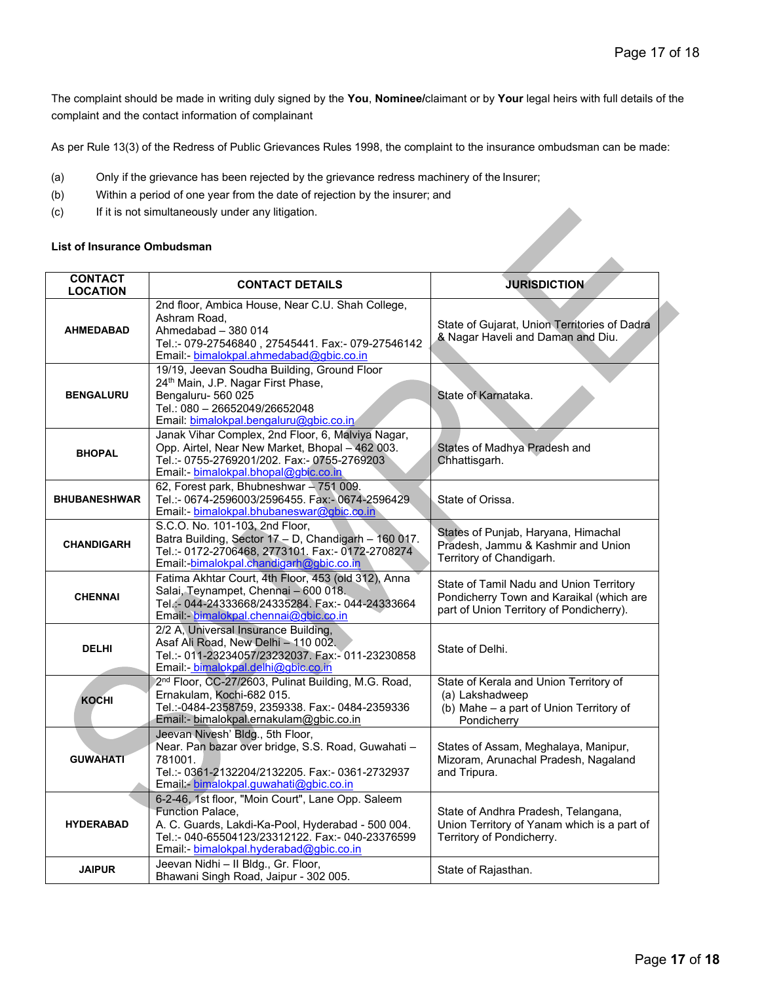The complaint should be made in writing duly signed by the **You**, **Nominee/**claimant or by **Your** legal heirs with full details of the complaint and the contact information of complainant

As per Rule 13(3) of the Redress of Public Grievances Rules 1998, the complaint to the insurance ombudsman can be made:

- (a) Only if the grievance has been rejected by the grievance redress machinery of the Insurer;
- (b) Within a period of one year from the date of rejection by the insurer; and
- (c) If it is not simultaneously under any litigation.

#### **List of Insurance Ombudsman**

| $(\nabla)$<br>If it is not simulate ously under any impandit. |                                                                                                                                                                                                                          |                                                                                                                                 |  |
|---------------------------------------------------------------|--------------------------------------------------------------------------------------------------------------------------------------------------------------------------------------------------------------------------|---------------------------------------------------------------------------------------------------------------------------------|--|
| <b>List of Insurance Ombudsman</b>                            |                                                                                                                                                                                                                          |                                                                                                                                 |  |
| <b>CONTACT</b><br><b>LOCATION</b>                             | <b>CONTACT DETAILS</b>                                                                                                                                                                                                   | <b>JURISDICTION</b>                                                                                                             |  |
| <b>AHMEDABAD</b>                                              | 2nd floor, Ambica House, Near C.U. Shah College,<br>Ashram Road,<br>Ahmedabad - 380 014<br>Tel.:- 079-27546840, 27545441. Fax:- 079-27546142<br>Email: bimalokpal.ahmedabad@gbic.co.in                                   | State of Gujarat, Union Territories of Dadra<br>& Nagar Haveli and Daman and Diu.                                               |  |
| <b>BENGALURU</b>                                              | 19/19, Jeevan Soudha Building, Ground Floor<br>24 <sup>th</sup> Main, J.P. Nagar First Phase,<br>Bengaluru-560025<br>Tel.: 080 - 26652049/26652048<br>Email: bimalokpal.bengaluru@gbic.co.in                             | State of Karnataka.                                                                                                             |  |
| <b>BHOPAL</b>                                                 | Janak Vihar Complex, 2nd Floor, 6, Malviya Nagar,<br>Opp. Airtel, Near New Market, Bhopal - 462 003.<br>Tel.:- 0755-2769201/202. Fax:- 0755-2769203<br>Email: bimalokpal.bhopal@gbic.co.in                               | States of Madhya Pradesh and<br>Chhattisgarh.                                                                                   |  |
| <b>BHUBANESHWAR</b>                                           | 62, Forest park, Bhubneshwar - 751 009.<br>Tel.:- 0674-2596003/2596455. Fax:- 0674-2596429<br>Email:- bimalokpal.bhubaneswar@gbic.co.in                                                                                  | State of Orissa.                                                                                                                |  |
| <b>CHANDIGARH</b>                                             | S.C.O. No. 101-103, 2nd Floor,<br>Batra Building, Sector 17 - D, Chandigarh - 160 017.<br>Tel.:- 0172-2706468, 2773101. Fax:- 0172-2708274<br>Email:-bimalokpal.chandigarh@gbic.co.in                                    | States of Punjab, Haryana, Himachal<br>Pradesh, Jammu & Kashmir and Union<br>Territory of Chandigarh.                           |  |
| <b>CHENNAI</b>                                                | Fatima Akhtar Court, 4th Floor, 453 (old 312), Anna<br>Salai, Teynampet, Chennai - 600 018.<br>Tel.:- 044-24333668/24335284. Fax:- 044-24333664<br>Email: bimalokpal.chennai@gbic.co.in                                  | State of Tamil Nadu and Union Territory<br>Pondicherry Town and Karaikal (which are<br>part of Union Territory of Pondicherry). |  |
| <b>DELHI</b>                                                  | 2/2 A, Universal Insurance Building,<br>Asaf Ali Road, New Delhi - 110 002.<br>Tel.:- 011-23234057/23232037. Fax:- 011-23230858<br>Email: bimalokpal.delhi@gbic.co.in                                                    | State of Delhi.                                                                                                                 |  |
| <b>KOCHI</b>                                                  | 2 <sup>nd</sup> Floor, CC-27/2603, Pulinat Building, M.G. Road,<br>Ernakulam, Kochi-682 015.<br>Tel.:-0484-2358759, 2359338. Fax:- 0484-2359336<br>Email:- bimalokpal.ernakulam@gbic.co.in                               | State of Kerala and Union Territory of<br>(a) Lakshadweep<br>(b) Mahe - a part of Union Territory of<br>Pondicherry             |  |
| <b>GUWAHATI</b>                                               | Jeevan Nivesh' Bldg., 5th Floor,<br>Near. Pan bazar over bridge, S.S. Road, Guwahati -<br>781001.<br>Tel.:- 0361-2132204/2132205. Fax:- 0361-2732937<br>Email bimalokpal.guwahati@gbic.co.in                             | States of Assam, Meghalaya, Manipur,<br>Mizoram, Arunachal Pradesh, Nagaland<br>and Impura.                                     |  |
| <b>HYDERABAD</b>                                              | 6-2-46, 1st floor, "Moin Court", Lane Opp. Saleem<br>Function Palace,<br>A. C. Guards, Lakdi-Ka-Pool, Hyderabad - 500 004.<br>Tel.:- 040-65504123/23312122. Fax:- 040-23376599<br>Email: bimalokpal.hyderabad@gbic.co.in | State of Andhra Pradesh, Telangana,<br>Union Territory of Yanam which is a part of<br>Territory of Pondicherry.                 |  |
| <b>JAIPUR</b>                                                 | Jeevan Nidhi - Il Bldg., Gr. Floor,<br>Bhawani Singh Road, Jaipur - 302 005.                                                                                                                                             | State of Rajasthan.                                                                                                             |  |